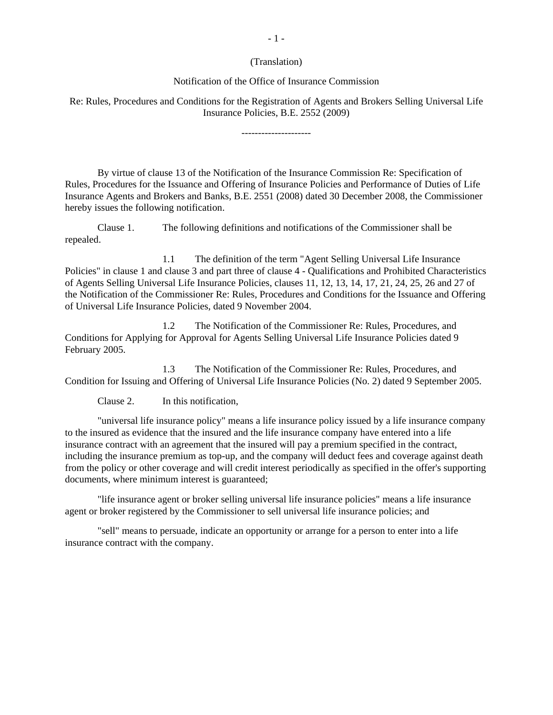### (Translation)

#### Notification of the Office of Insurance Commission

Re: Rules, Procedures and Conditions for the Registration of Agents and Brokers Selling Universal Life Insurance Policies, B.E. 2552 (2009)

---------------------

By virtue of clause 13 of the Notification of the Insurance Commission Re: Specification of Rules, Procedures for the Issuance and Offering of Insurance Policies and Performance of Duties of Life Insurance Agents and Brokers and Banks, B.E. 2551 (2008) dated 30 December 2008, the Commissioner hereby issues the following notification.

Clause 1. The following definitions and notifications of the Commissioner shall be repealed.

1.1 The definition of the term "Agent Selling Universal Life Insurance Policies" in clause 1 and clause 3 and part three of clause 4 - Qualifications and Prohibited Characteristics of Agents Selling Universal Life Insurance Policies, clauses 11, 12, 13, 14, 17, 21, 24, 25, 26 and 27 of the Notification of the Commissioner Re: Rules, Procedures and Conditions for the Issuance and Offering of Universal Life Insurance Policies, dated 9 November 2004.

1.2 The Notification of the Commissioner Re: Rules, Procedures, and Conditions for Applying for Approval for Agents Selling Universal Life Insurance Policies dated 9 February 2005.

1.3 The Notification of the Commissioner Re: Rules, Procedures, and Condition for Issuing and Offering of Universal Life Insurance Policies (No. 2) dated 9 September 2005.

Clause 2. In this notification,

"universal life insurance policy" means a life insurance policy issued by a life insurance company to the insured as evidence that the insured and the life insurance company have entered into a life insurance contract with an agreement that the insured will pay a premium specified in the contract, including the insurance premium as top-up, and the company will deduct fees and coverage against death from the policy or other coverage and will credit interest periodically as specified in the offer's supporting documents, where minimum interest is guaranteed;

"life insurance agent or broker selling universal life insurance policies" means a life insurance agent or broker registered by the Commissioner to sell universal life insurance policies; and

"sell" means to persuade, indicate an opportunity or arrange for a person to enter into a life insurance contract with the company.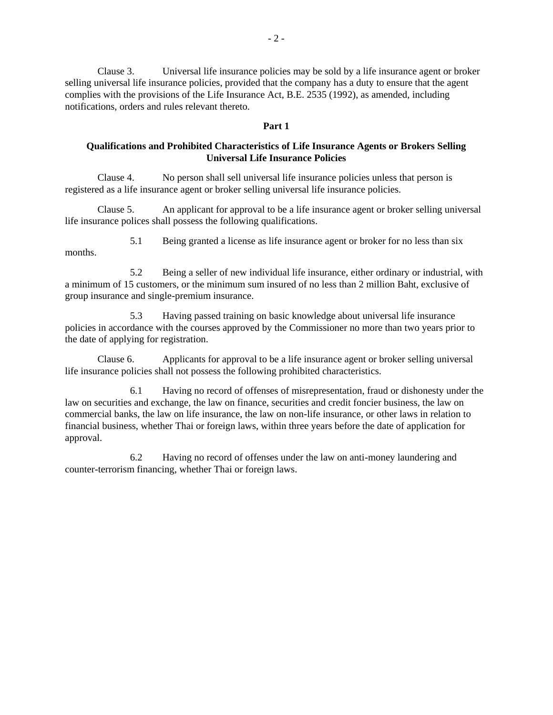Clause 3. Universal life insurance policies may be sold by a life insurance agent or broker selling universal life insurance policies, provided that the company has a duty to ensure that the agent complies with the provisions of the Life Insurance Act, B.E. 2535 (1992), as amended, including notifications, orders and rules relevant thereto.

#### **Part 1**

### **Qualifications and Prohibited Characteristics of Life Insurance Agents or Brokers Selling Universal Life Insurance Policies**

Clause 4. No person shall sell universal life insurance policies unless that person is registered as a life insurance agent or broker selling universal life insurance policies.

Clause 5. An applicant for approval to be a life insurance agent or broker selling universal life insurance polices shall possess the following qualifications.

months.

5.1 Being granted a license as life insurance agent or broker for no less than six

5.2 Being a seller of new individual life insurance, either ordinary or industrial, with a minimum of 15 customers, or the minimum sum insured of no less than 2 million Baht, exclusive of group insurance and single-premium insurance.

5.3 Having passed training on basic knowledge about universal life insurance policies in accordance with the courses approved by the Commissioner no more than two years prior to the date of applying for registration.

Clause 6. Applicants for approval to be a life insurance agent or broker selling universal life insurance policies shall not possess the following prohibited characteristics.

6.1 Having no record of offenses of misrepresentation, fraud or dishonesty under the law on securities and exchange, the law on finance, securities and credit foncier business, the law on commercial banks, the law on life insurance, the law on non-life insurance, or other laws in relation to financial business, whether Thai or foreign laws, within three years before the date of application for approval.

6.2 Having no record of offenses under the law on anti-money laundering and counter-terrorism financing, whether Thai or foreign laws.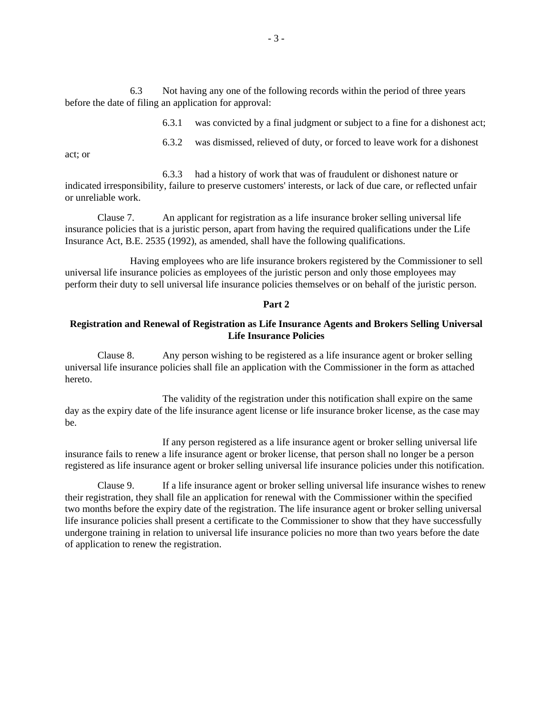6.3 Not having any one of the following records within the period of three years before the date of filing an application for approval:

6.3.1 was convicted by a final judgment or subject to a fine for a dishonest act;

6.3.2 was dismissed, relieved of duty, or forced to leave work for a dishonest

act; or

6.3.3 had a history of work that was of fraudulent or dishonest nature or indicated irresponsibility, failure to preserve customers' interests, or lack of due care, or reflected unfair or unreliable work.

Clause 7. An applicant for registration as a life insurance broker selling universal life insurance policies that is a juristic person, apart from having the required qualifications under the Life Insurance Act, B.E. 2535 (1992), as amended, shall have the following qualifications.

Having employees who are life insurance brokers registered by the Commissioner to sell universal life insurance policies as employees of the juristic person and only those employees may perform their duty to sell universal life insurance policies themselves or on behalf of the juristic person.

### **Part 2**

## **Registration and Renewal of Registration as Life Insurance Agents and Brokers Selling Universal Life Insurance Policies**

Clause 8. Any person wishing to be registered as a life insurance agent or broker selling universal life insurance policies shall file an application with the Commissioner in the form as attached hereto.

The validity of the registration under this notification shall expire on the same day as the expiry date of the life insurance agent license or life insurance broker license, as the case may be.

If any person registered as a life insurance agent or broker selling universal life insurance fails to renew a life insurance agent or broker license, that person shall no longer be a person registered as life insurance agent or broker selling universal life insurance policies under this notification.

Clause 9. If a life insurance agent or broker selling universal life insurance wishes to renew their registration, they shall file an application for renewal with the Commissioner within the specified two months before the expiry date of the registration. The life insurance agent or broker selling universal life insurance policies shall present a certificate to the Commissioner to show that they have successfully undergone training in relation to universal life insurance policies no more than two years before the date of application to renew the registration.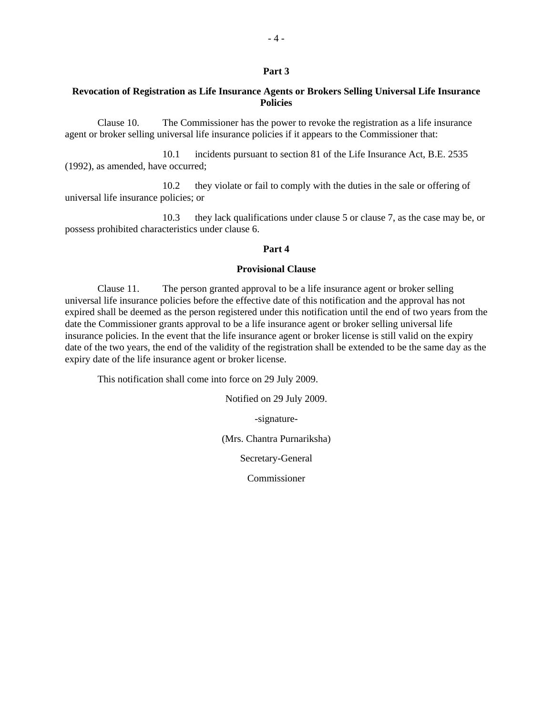#### **Part 3**

### **Revocation of Registration as Life Insurance Agents or Brokers Selling Universal Life Insurance Policies**

Clause 10. The Commissioner has the power to revoke the registration as a life insurance agent or broker selling universal life insurance policies if it appears to the Commissioner that:

10.1 incidents pursuant to section 81 of the Life Insurance Act, B.E. 2535 (1992), as amended, have occurred;

10.2 they violate or fail to comply with the duties in the sale or offering of universal life insurance policies; or

10.3 they lack qualifications under clause 5 or clause 7, as the case may be, or possess prohibited characteristics under clause 6.

#### **Part 4**

#### **Provisional Clause**

Clause 11. The person granted approval to be a life insurance agent or broker selling universal life insurance policies before the effective date of this notification and the approval has not expired shall be deemed as the person registered under this notification until the end of two years from the date the Commissioner grants approval to be a life insurance agent or broker selling universal life insurance policies. In the event that the life insurance agent or broker license is still valid on the expiry date of the two years, the end of the validity of the registration shall be extended to be the same day as the expiry date of the life insurance agent or broker license.

This notification shall come into force on 29 July 2009.

Notified on 29 July 2009.

-signature-

(Mrs. Chantra Purnariksha)

Secretary-General

Commissioner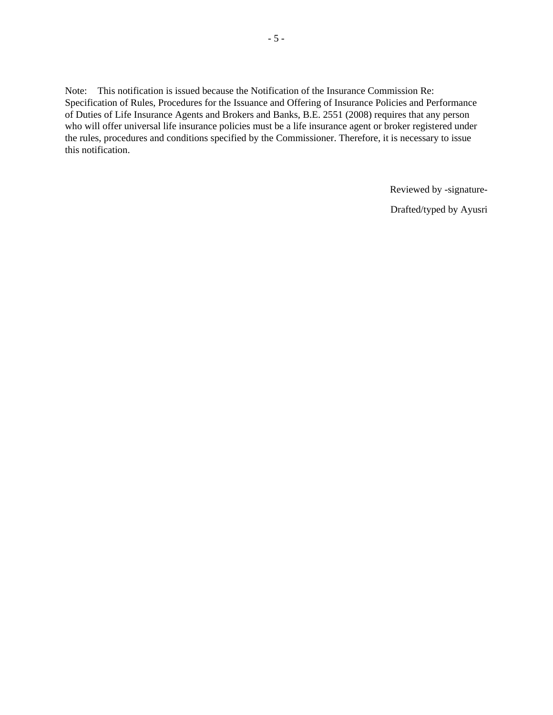Note: This notification is issued because the Notification of the Insurance Commission Re: Specification of Rules, Procedures for the Issuance and Offering of Insurance Policies and Performance of Duties of Life Insurance Agents and Brokers and Banks, B.E. 2551 (2008) requires that any person who will offer universal life insurance policies must be a life insurance agent or broker registered under the rules, procedures and conditions specified by the Commissioner. Therefore, it is necessary to issue this notification.

Reviewed by -signature-

Drafted/typed by Ayusri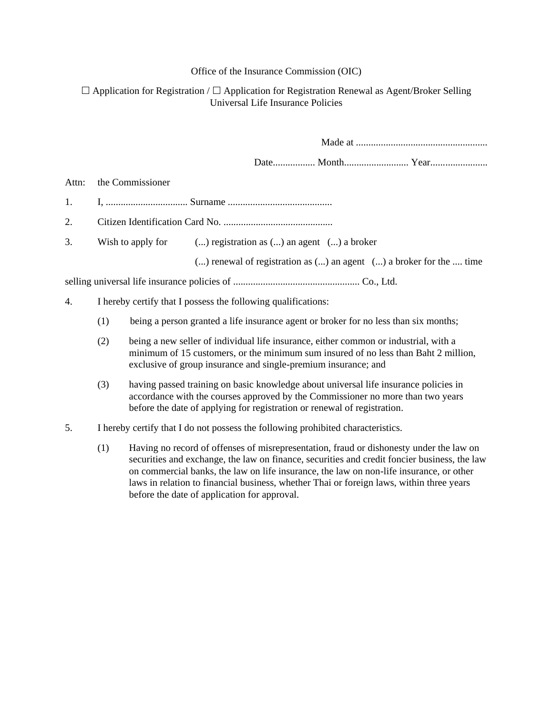## Office of the Insurance Commission (OIC)

# $\Box$  Application for Registration /  $\Box$  Application for Registration Renewal as Agent/Broker Selling Universal Life Insurance Policies

| Attn: |                                                               | the Commissioner                                                                                                                                                                                                                              |                                                                                           |  |  |
|-------|---------------------------------------------------------------|-----------------------------------------------------------------------------------------------------------------------------------------------------------------------------------------------------------------------------------------------|-------------------------------------------------------------------------------------------|--|--|
| 1.    |                                                               |                                                                                                                                                                                                                                               |                                                                                           |  |  |
| 2.    |                                                               |                                                                                                                                                                                                                                               |                                                                                           |  |  |
| 3.    |                                                               |                                                                                                                                                                                                                                               | Wish to apply for $(\ldots)$ registration as $(\ldots)$ an agent $(\ldots)$ a broker      |  |  |
|       |                                                               |                                                                                                                                                                                                                                               | $\dots$ renewal of registration as $\dots$ an agent $\dots$ a broker for the $\dots$ time |  |  |
|       |                                                               |                                                                                                                                                                                                                                               |                                                                                           |  |  |
| 4.    | I hereby certify that I possess the following qualifications: |                                                                                                                                                                                                                                               |                                                                                           |  |  |
|       | (1)                                                           | being a person granted a life insurance agent or broker for no less than six months;                                                                                                                                                          |                                                                                           |  |  |
|       | (2)                                                           | being a new seller of individual life insurance, either common or industrial, with a<br>minimum of 15 customers, or the minimum sum insured of no less than Baht 2 million,<br>exclusive of group insurance and single-premium insurance; and |                                                                                           |  |  |

- (3) having passed training on basic knowledge about universal life insurance policies in accordance with the courses approved by the Commissioner no more than two years before the date of applying for registration or renewal of registration.
- 5. I hereby certify that I do not possess the following prohibited characteristics.
	- (1) Having no record of offenses of misrepresentation, fraud or dishonesty under the law on securities and exchange, the law on finance, securities and credit foncier business, the law on commercial banks, the law on life insurance, the law on non-life insurance, or other laws in relation to financial business, whether Thai or foreign laws, within three years before the date of application for approval.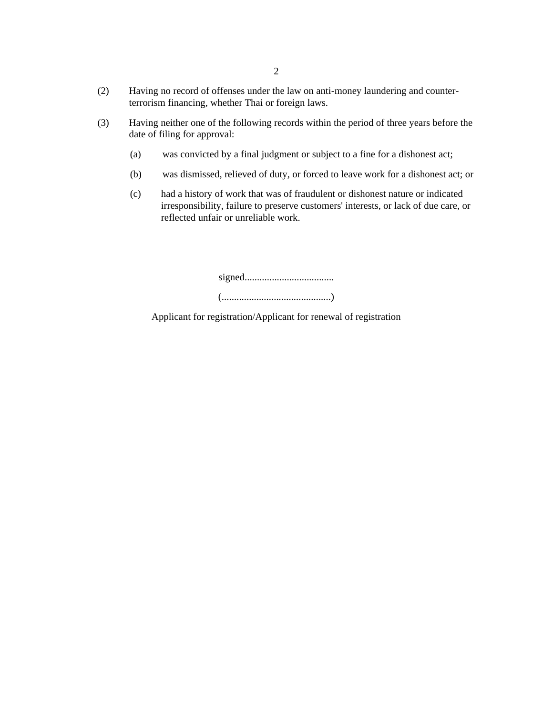- (2) Having no record of offenses under the law on anti-money laundering and counterterrorism financing, whether Thai or foreign laws.
- (3) Having neither one of the following records within the period of three years before the date of filing for approval:
	- (a) was convicted by a final judgment or subject to a fine for a dishonest act;
	- (b) was dismissed, relieved of duty, or forced to leave work for a dishonest act; or
	- (c) had a history of work that was of fraudulent or dishonest nature or indicated irresponsibility, failure to preserve customers' interests, or lack of due care, or reflected unfair or unreliable work.

signed....................................

(............................................)

Applicant for registration/Applicant for renewal of registration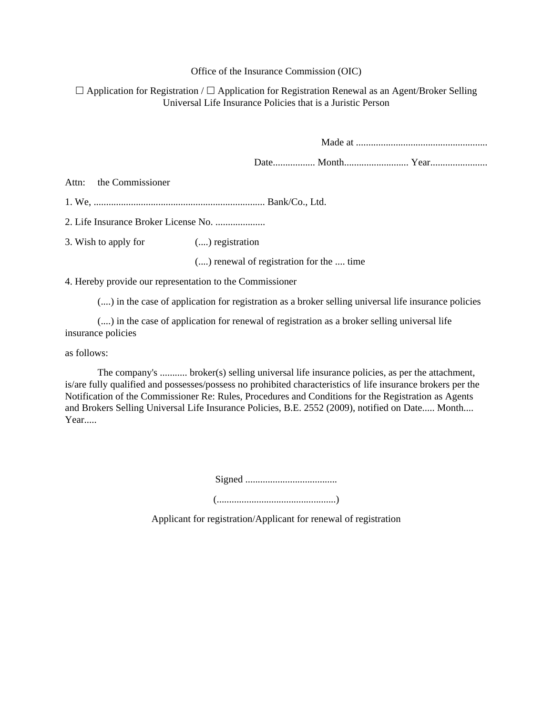### Office of the Insurance Commission (OIC)

# $\Box$  Application for Registration /  $\Box$  Application for Registration Renewal as an Agent/Broker Selling Universal Life Insurance Policies that is a Juristic Person

Made at .....................................................

Date................. Month.......................... Year.......................

Attn: the Commissioner

1. We, ..................................................................... Bank/Co., Ltd.

2. Life Insurance Broker License No. ....................

3. Wish to apply for (....) registration

(....) renewal of registration for the .... time

## 4. Hereby provide our representation to the Commissioner

(....) in the case of application for registration as a broker selling universal life insurance policies

(....) in the case of application for renewal of registration as a broker selling universal life insurance policies

as follows:

The company's ........... broker(s) selling universal life insurance policies, as per the attachment, is/are fully qualified and possesses/possess no prohibited characteristics of life insurance brokers per the Notification of the Commissioner Re: Rules, Procedures and Conditions for the Registration as Agents and Brokers Selling Universal Life Insurance Policies, B.E. 2552 (2009), notified on Date..... Month.... Year.....

Signed .....................................

(................................................)

Applicant for registration/Applicant for renewal of registration